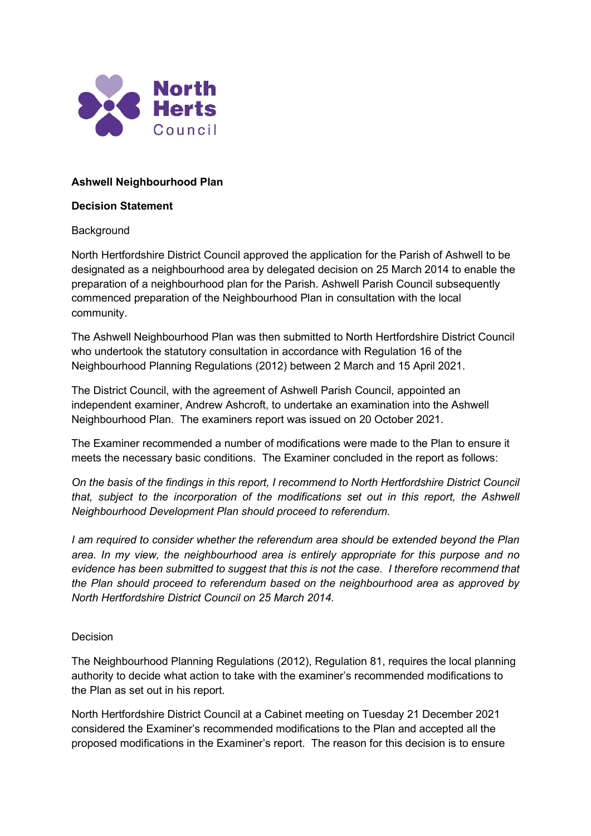

# Ashwell Neighbourhood Plan

### Decision Statement

## **Background**

North Hertfordshire District Council approved the application for the Parish of Ashwell to be designated as a neighbourhood area by delegated decision on 25 March 2014 to enable the preparation of a neighbourhood plan for the Parish. Ashwell Parish Council subsequently commenced preparation of the Neighbourhood Plan in consultation with the local community.

The Ashwell Neighbourhood Plan was then submitted to North Hertfordshire District Council who undertook the statutory consultation in accordance with Regulation 16 of the Neighbourhood Planning Regulations (2012) between 2 March and 15 April 2021.

The District Council, with the agreement of Ashwell Parish Council, appointed an independent examiner, Andrew Ashcroft, to undertake an examination into the Ashwell Neighbourhood Plan. The examiners report was issued on 20 October 2021.

The Examiner recommended a number of modifications were made to the Plan to ensure it meets the necessary basic conditions. The Examiner concluded in the report as follows:

On the basis of the findings in this report, I recommend to North Hertfordshire District Council that, subject to the incorporation of the modifications set out in this report, the Ashwell Neighbourhood Development Plan should proceed to referendum.

I am required to consider whether the referendum area should be extended beyond the Plan area. In my view, the neighbourhood area is entirely appropriate for this purpose and no evidence has been submitted to suggest that this is not the case. I therefore recommend that the Plan should proceed to referendum based on the neighbourhood area as approved by North Hertfordshire District Council on 25 March 2014.

# Decision

The Neighbourhood Planning Regulations (2012), Regulation 81, requires the local planning authority to decide what action to take with the examiner's recommended modifications to the Plan as set out in his report.

North Hertfordshire District Council at a Cabinet meeting on Tuesday 21 December 2021 considered the Examiner's recommended modifications to the Plan and accepted all the proposed modifications in the Examiner's report. The reason for this decision is to ensure